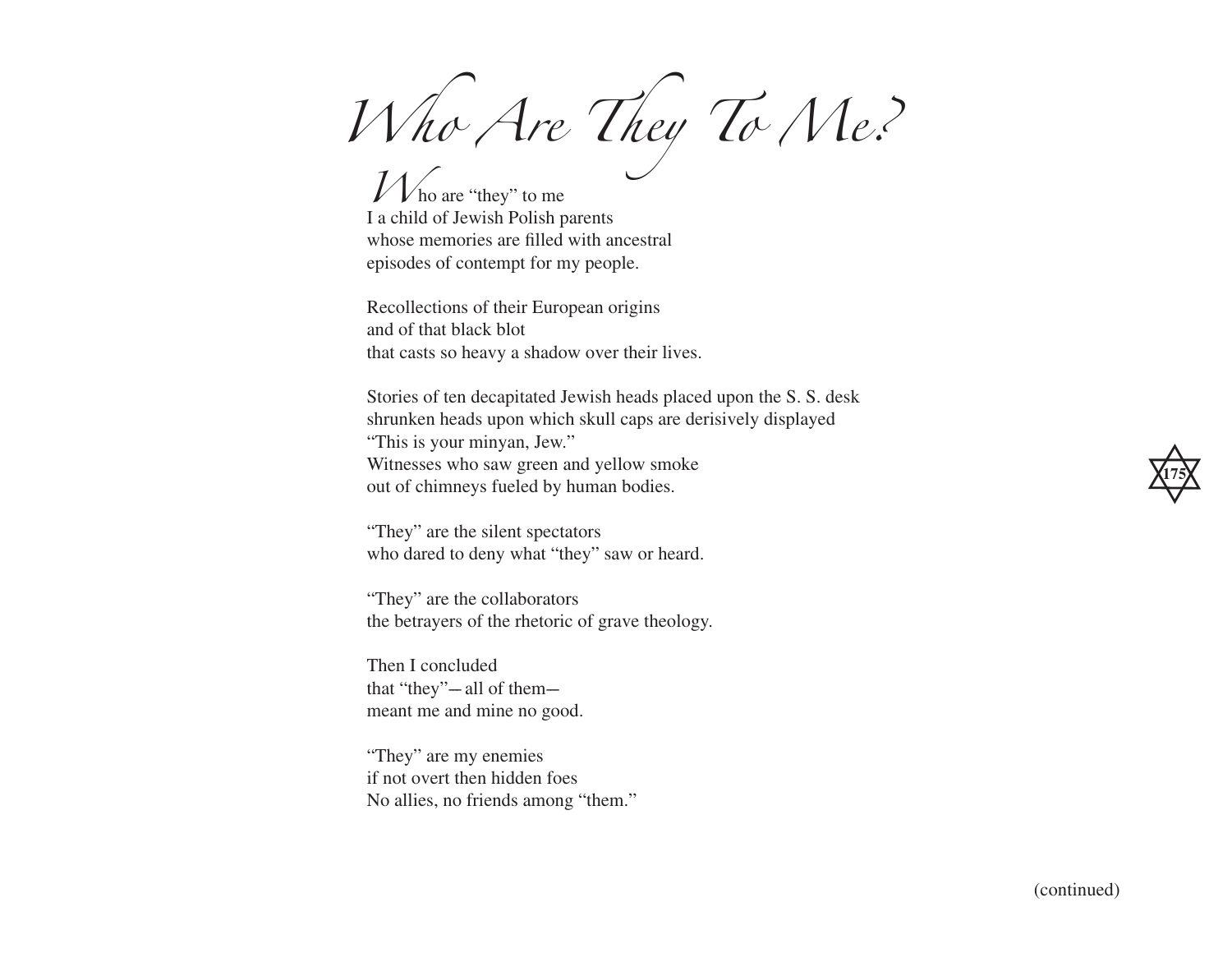*Who Are They To Me?*

 $V$   $\triangleright$  ho are "they" to me I a child of Jewish Polish parents whose memories are filled with ancestral episodes of contempt for my people.

Recollections of their European origins and of that black blot that casts so heavy a shadow over their lives.

Stories of ten decapitated Jewish heads placed upon the S. S. desk shrunken heads upon which skull caps are derisively displayed "This is your minyan, Jew." Witnesses who saw green and yellow smoke out of chimneys fueled by human bodies.

"They" are the silent spectators who dared to deny what "they" saw or heard.

"They" are the collaborators the betrayers of the rhetoric of grave theology.

Then I concluded that "they" $-$  all of them $$ meant me and mine no good.

"They" are my enemies if not overt then hidden foes No allies, no friends among "them."

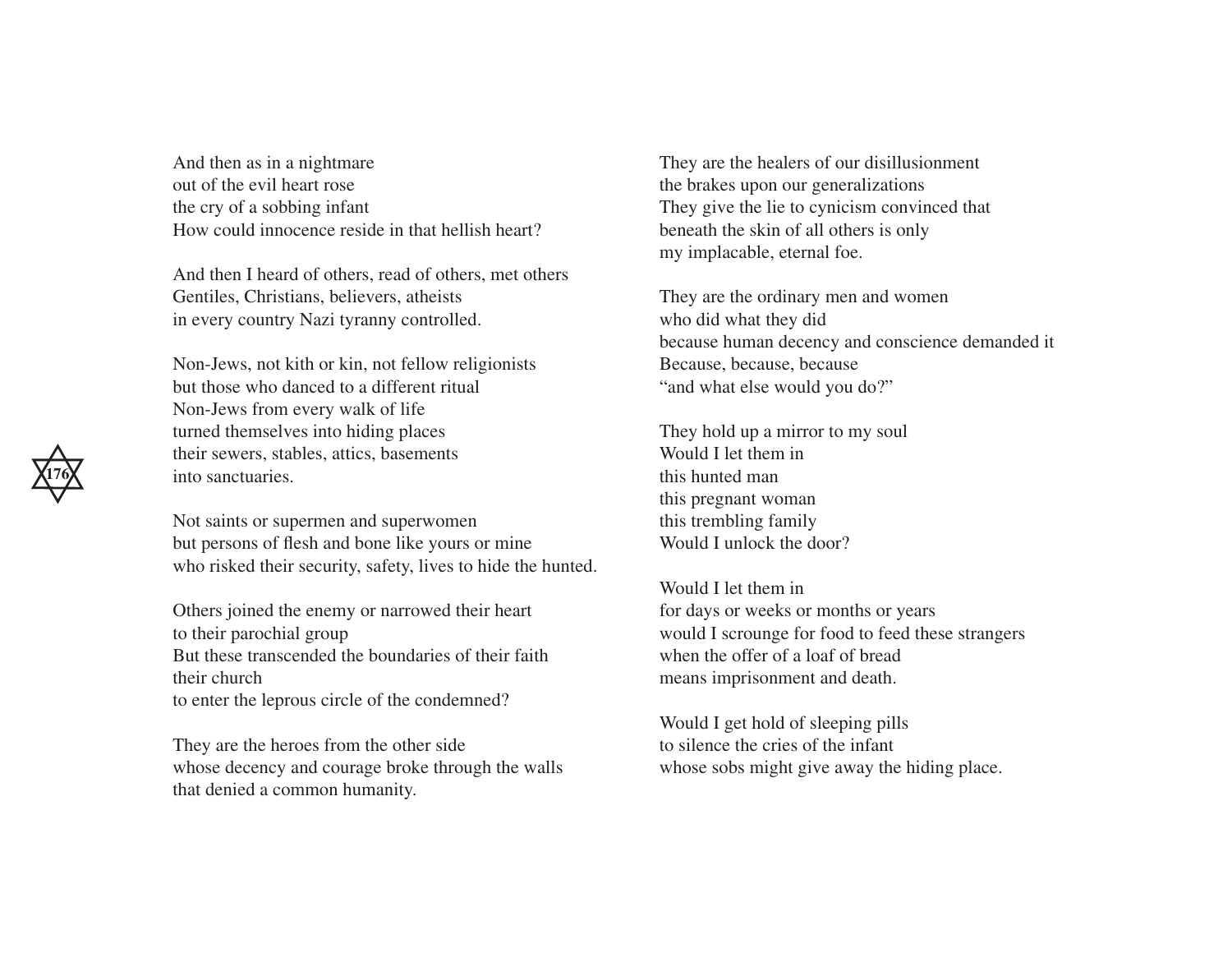And then as in a nightmare out of the evil heart rose the cry of a sobbing infant How could innocence reside in that hellish heart?

And then I heard of others, read of others, met others Gentiles, Christians, believers, atheists in every country Nazi tyranny controlled.

Non-Jews, not kith or kin, not fellow religionists but those who danced to a different ritual Non-Jews from every walk of life turned themselves into hiding places their sewers, stables, attics, basements into sanctuaries.

Not saints or supermen and superwomen but persons of flesh and bone like yours or mine who risked their security, safety, lives to hide the hunted.

Others joined the enemy or narrowed their heart to their parochial group But these transcended the boundaries of their faith their church to enter the leprous circle of the condemned?

They are the heroes from the other side whose decency and courage broke through the walls that denied a common humanity.

They are the healers of our disillusionment the brakes upon our generalizations They give the lie to cynicism convinced that beneath the skin of all others is only my implacable, eternal foe.

They are the ordinary men and women who did what they did because human decency and conscience demanded it Because, because, because "and what else would you do?"

They hold up a mirror to my soul Would I let them in this hunted man this pregnant woman this trembling family Would I unlock the door?

Would I let them in for days or weeks or months or years would I scrounge for food to feed these strangers when the offer of a loaf of bread means imprisonment and death.

Would I get hold of sleeping pills to silence the cries of the infant whose sobs might give away the hiding place.